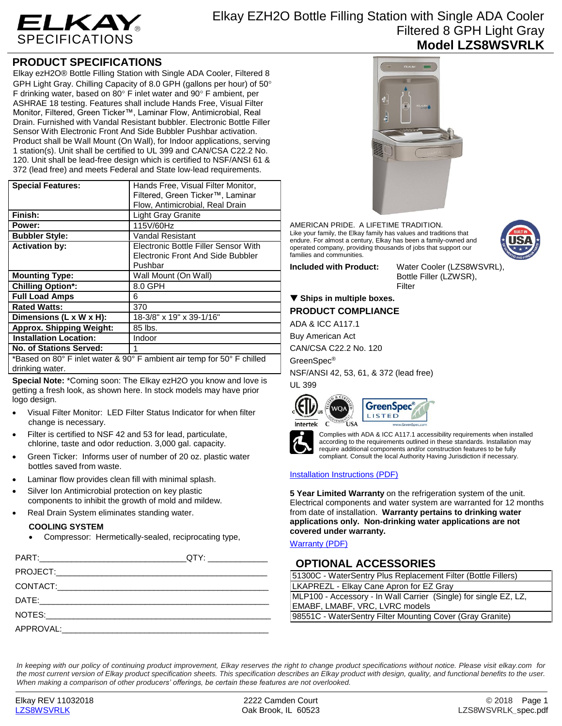

## **PRODUCT SPECIFICATIONS**

Elkay ezH2O® Bottle Filling Station with Single ADA Cooler, Filtered 8 GPH Light Gray. Chilling Capacity of 8.0 GPH (gallons per hour) of 50° F drinking water, based on 80 $\degree$  F inlet water and 90 $\degree$  F ambient, per ASHRAE 18 testing. Features shall include Hands Free, Visual Filter Monitor, Filtered, Green Ticker™, Laminar Flow, Antimicrobial, Real Drain. Furnished with Vandal Resistant bubbler. Electronic Bottle Filler Sensor With Electronic Front And Side Bubbler Pushbar activation. Product shall be Wall Mount (On Wall), for Indoor applications, serving 1 station(s). Unit shall be certified to UL 399 and CAN/CSA C22.2 No. 120. Unit shall be lead-free design which is certified to NSF/ANSI 61 & 372 (lead free) and meets Federal and State low-lead requirements.

| <b>Special Features:</b>                                               | Hands Free, Visual Filter Monitor,   |  |
|------------------------------------------------------------------------|--------------------------------------|--|
|                                                                        |                                      |  |
|                                                                        | Filtered, Green Ticker™, Laminar     |  |
|                                                                        | Flow, Antimicrobial, Real Drain      |  |
| Finish:                                                                | <b>Light Gray Granite</b>            |  |
| Power:                                                                 | 115V/60Hz                            |  |
| <b>Bubbler Style:</b>                                                  | Vandal Resistant                     |  |
| <b>Activation by:</b>                                                  | Electronic Bottle Filler Sensor With |  |
|                                                                        | Electronic Front And Side Bubbler    |  |
|                                                                        | Pushbar                              |  |
| <b>Mounting Type:</b>                                                  | Wall Mount (On Wall)                 |  |
| <b>Chilling Option*:</b>                                               | 8.0 GPH                              |  |
| <b>Full Load Amps</b>                                                  | 6                                    |  |
| <b>Rated Watts:</b>                                                    | 370                                  |  |
| Dimensions (L x W x H):                                                | 18-3/8" x 19" x 39-1/16"             |  |
| <b>Approx. Shipping Weight:</b>                                        | 85 lbs.                              |  |
| <b>Installation Location:</b>                                          | Indoor                               |  |
| <b>No. of Stations Served:</b>                                         |                                      |  |
| *Based on 80° F inlet water & 90° F ambient air temp for 50° F chilled |                                      |  |
| drinking water.                                                        |                                      |  |

**Special Note:** \*Coming soon: The Elkay ezH2O you know and love is getting a fresh look, as shown here. In stock models may have prior logo design.

- Visual Filter Monitor: LED Filter Status Indicator for when filter change is necessary.
- Filter is certified to NSF 42 and 53 for lead, particulate, chlorine, taste and odor reduction. 3,000 gal. capacity.
- Green Ticker: Informs user of number of 20 oz. plastic water bottles saved from waste.
- Laminar flow provides clean fill with minimal splash.
- Silver Ion Antimicrobial protection on key plastic components to inhibit the growth of mold and mildew.
	- Real Drain System eliminates standing water.

### **COOLING SYSTEM**

Compressor: Hermetically-sealed, reciprocating type,

|                     | QTY: ________________ |
|---------------------|-----------------------|
|                     |                       |
|                     |                       |
|                     |                       |
|                     |                       |
| APPROVAL: APPROVAL: |                       |
|                     |                       |



AMERICAN PRIDE. A LIFETIME TRADITION. Like your family, the Elkay family has values and traditions that endure. For almost a century, Elkay has been a family-owned and operated company, providing thousands of jobs that support our families and communities.



**Included with Product:** Water Cooler (LZS8WSVRL), Bottle Filler (LZWSR), Filter

# **Ships in multiple boxes.**

# **PRODUCT COMPLIANCE**

ADA & ICC A117.1

Buy American Act

CAN/CSA C22.2 No. 120

GreenSpec®

NSF/ANSI 42, 53, 61, & 372 (lead free) UL 399









Complies with ADA & ICC A117.1 accessibility requirements when installed according to the requirements outlined in these standards. Installation may require additional components and/or construction features to be fully compliant. Consult the local Authority Having Jurisdiction if necessary.

## [Installation Instructions \(PDF\)](http://www.elkay.com/wcsstore/lkdocs/care-cleaning-install-warranty-sheets/1000002207.pdf)

**5 Year Limited Warranty** on the refrigeration system of the unit. Electrical components and water system are warranted for 12 months from date of installation. **Warranty pertains to drinking water applications only. Non-drinking water applications are not covered under warranty.**

[Warranty](http://www.elkay.com/wcsstore/lkdocs/care-cleaning-install-warranty-sheets/96993c.pdf) (PDF)

## **OPTIONAL ACCESSORIES**

| 51300C - WaterSentry Plus Replacement Filter (Bottle Fillers)    |  |
|------------------------------------------------------------------|--|
| LKAPREZL - Elkay Cane Apron for EZ Gray                          |  |
| MLP100 - Accessory - In Wall Carrier (Single) for single EZ, LZ, |  |
| EMABF, LMABF, VRC, LVRC models                                   |  |
| 98551C - WaterSentry Filter Mounting Cover (Gray Granite)        |  |

*In keeping with our policy of continuing product improvement, Elkay reserves the right to change product specifications without notice. Please visit elkay.com for the most current version of Elkay product specification sheets. This specification describes an Elkay product with design, quality, and functional benefits to the user. When making a comparison of other producers' offerings, be certain these features are not overlooked.*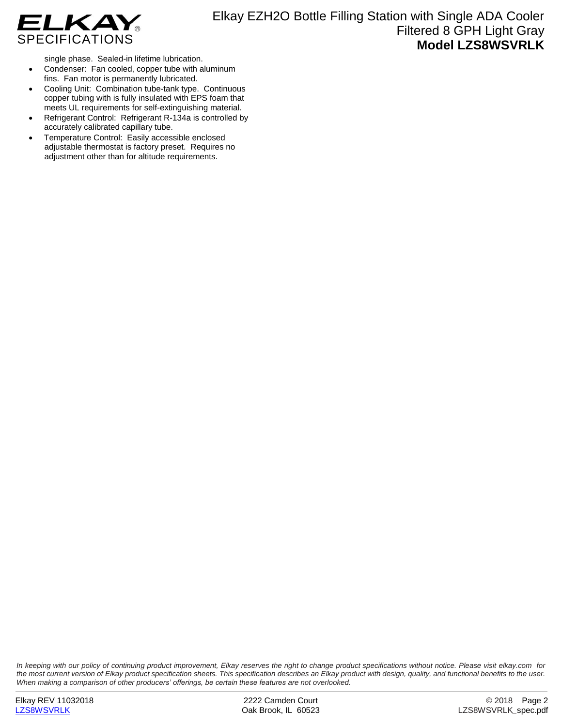

single phase. Sealed-in lifetime lubrication.

- Condenser: Fan cooled, copper tube with aluminum fins. Fan motor is permanently lubricated.
- Cooling Unit: Combination tube-tank type. Continuous copper tubing with is fully insulated with EPS foam that meets UL requirements for self-extinguishing material.
- Refrigerant Control: Refrigerant R-134a is controlled by accurately calibrated capillary tube.
- Temperature Control: Easily accessible enclosed adjustable thermostat is factory preset. Requires no adjustment other than for altitude requirements.

*In keeping with our policy of continuing product improvement, Elkay reserves the right to change product specifications without notice. Please visit elkay.com for the most current version of Elkay product specification sheets. This specification describes an Elkay product with design, quality, and functional benefits to the user. When making a comparison of other producers' offerings, be certain these features are not overlooked.*